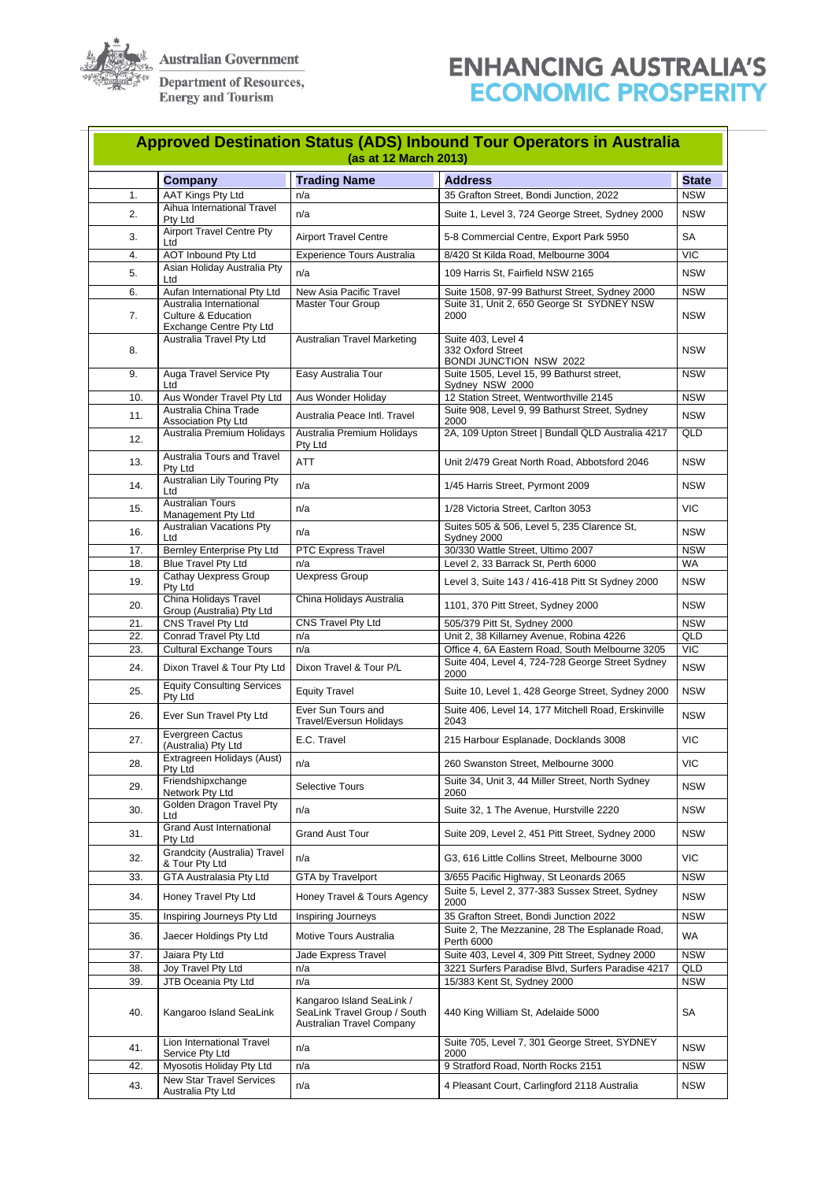

**Australian Government** 

**Department of Resources,<br>Energy and Tourism** 

## **ENHANCING AUSTRALIA'S ECONOMIC PROSPERITY**

| <b>Approved Destination Status (ADS) Inbound Tour Operators in Australia</b><br>(as at 12 March 2013) |                                                                                             |                                                                                               |                                                                                             |                          |  |  |  |
|-------------------------------------------------------------------------------------------------------|---------------------------------------------------------------------------------------------|-----------------------------------------------------------------------------------------------|---------------------------------------------------------------------------------------------|--------------------------|--|--|--|
|                                                                                                       | <b>Company</b>                                                                              | <b>Trading Name</b>                                                                           | <b>Address</b>                                                                              | <b>State</b>             |  |  |  |
| 1.                                                                                                    | <b>AAT Kings Pty Ltd</b>                                                                    | n/a                                                                                           | 35 Grafton Street, Bondi Junction, 2022                                                     | <b>NSW</b>               |  |  |  |
| 2.                                                                                                    | Aihua International Travel<br>Pty Ltd                                                       | n/a                                                                                           | Suite 1, Level 3, 724 George Street, Sydney 2000                                            | <b>NSW</b>               |  |  |  |
| 3.                                                                                                    | <b>Airport Travel Centre Pty</b><br>Ltd                                                     | <b>Airport Travel Centre</b>                                                                  | 5-8 Commercial Centre, Export Park 5950                                                     | <b>SA</b>                |  |  |  |
| 4.                                                                                                    | <b>AOT Inbound Pty Ltd</b>                                                                  | <b>Experience Tours Australia</b>                                                             | 8/420 St Kilda Road, Melbourne 3004                                                         | <b>VIC</b>               |  |  |  |
| 5.                                                                                                    | Asian Holiday Australia Pty<br>Ltd                                                          | n/a                                                                                           | 109 Harris St, Fairfield NSW 2165                                                           | <b>NSW</b>               |  |  |  |
| 6.                                                                                                    | Aufan International Pty Ltd                                                                 | New Asia Pacific Travel                                                                       | Suite 1508, 97-99 Bathurst Street, Sydney 2000                                              | <b>NSW</b>               |  |  |  |
| 7.                                                                                                    | Australia International<br><b>Culture &amp; Education</b><br><b>Exchange Centre Pty Ltd</b> | <b>Master Tour Group</b>                                                                      | Suite 31, Unit 2, 650 George St SYDNEY NSW<br>2000                                          | <b>NSW</b>               |  |  |  |
| 8.                                                                                                    | Australia Travel Pty Ltd                                                                    | <b>Australian Travel Marketing</b>                                                            | Suite 403, Level 4<br>332 Oxford Street<br><b>BONDI JUNCTION NSW 2022</b>                   | <b>NSW</b>               |  |  |  |
| 9.                                                                                                    | Auga Travel Service Pty<br>Ltd                                                              | Easy Australia Tour                                                                           | Suite 1505, Level 15, 99 Bathurst street,<br>Sydney NSW 2000                                | <b>NSW</b>               |  |  |  |
| 10.                                                                                                   | Aus Wonder Travel Pty Ltd                                                                   | Aus Wonder Holiday                                                                            | 12 Station Street, Wentworthville 2145                                                      | <b>NSW</b>               |  |  |  |
| 11.                                                                                                   | Australia China Trade                                                                       | Australia Peace Intl. Travel                                                                  | Suite 908, Level 9, 99 Bathurst Street, Sydney                                              | <b>NSW</b>               |  |  |  |
| 12.                                                                                                   | Association Pty Ltd<br>Australia Premium Holidays                                           | Australia Premium Holidays                                                                    | 2000<br>2A, 109 Upton Street   Bundall QLD Australia 4217                                   | QLD                      |  |  |  |
| 13.                                                                                                   | <b>Australia Tours and Travel</b><br>Pty Ltd                                                | Pty Ltd<br><b>ATT</b>                                                                         | Unit 2/479 Great North Road, Abbotsford 2046                                                | <b>NSW</b>               |  |  |  |
| 14.                                                                                                   | <b>Australian Lily Touring Pty</b><br>Ltd                                                   | n/a                                                                                           | 1/45 Harris Street, Pyrmont 2009                                                            | <b>NSW</b>               |  |  |  |
| 15.                                                                                                   | <b>Australian Tours</b><br>Management Pty Ltd                                               | n/a                                                                                           | 1/28 Victoria Street, Carlton 3053                                                          | <b>VIC</b>               |  |  |  |
| 16.                                                                                                   | <b>Australian Vacations Pty</b><br>Ltd                                                      | n/a                                                                                           | Suites 505 & 506, Level 5, 235 Clarence St,<br>Sydney 2000                                  | <b>NSW</b>               |  |  |  |
| 17.                                                                                                   | Bernley Enterprise Pty Ltd                                                                  | PTC Express Travel                                                                            | 30/330 Wattle Street, Ultimo 2007                                                           | <b>NSW</b>               |  |  |  |
| 18.                                                                                                   | <b>Blue Travel Pty Ltd</b>                                                                  | n/a                                                                                           | Level 2, 33 Barrack St, Perth 6000                                                          | <b>WA</b>                |  |  |  |
| 19.                                                                                                   | <b>Cathay Uexpress Group</b><br>Pty Ltd                                                     | <b>Uexpress Group</b>                                                                         | Level 3, Suite 143 / 416-418 Pitt St Sydney 2000                                            | <b>NSW</b>               |  |  |  |
| 20.                                                                                                   | China Holidays Travel<br>Group (Australia) Pty Ltd                                          | China Holidays Australia                                                                      | 1101, 370 Pitt Street, Sydney 2000                                                          | <b>NSW</b>               |  |  |  |
| 21.                                                                                                   | <b>CNS Travel Pty Ltd</b>                                                                   | <b>CNS Travel Pty Ltd</b>                                                                     | 505/379 Pitt St, Sydney 2000                                                                | <b>NSW</b>               |  |  |  |
| 22.<br>23.                                                                                            | <b>Conrad Travel Pty Ltd</b><br><b>Cultural Exchange Tours</b>                              | n/a<br>n/a                                                                                    | Unit 2, 38 Killarney Avenue, Robina 4226<br>Office 4, 6A Eastern Road, South Melbourne 3205 | <b>QLD</b><br><b>VIC</b> |  |  |  |
| 24.                                                                                                   | Dixon Travel & Tour Pty Ltd                                                                 | Dixon Travel & Tour P/L                                                                       | Suite 404, Level 4, 724-728 George Street Sydney<br>2000                                    | <b>NSW</b>               |  |  |  |
| 25.                                                                                                   | <b>Equity Consulting Services</b><br>Pty Ltd                                                | <b>Equity Travel</b>                                                                          | Suite 10, Level 1, 428 George Street, Sydney 2000                                           | <b>NSW</b>               |  |  |  |
| 26.                                                                                                   | Ever Sun Travel Pty Ltd                                                                     | Ever Sun Tours and<br><b>Travel/Eversun Holidays</b>                                          | Suite 406, Level 14, 177 Mitchell Road, Erskinville<br>2043                                 | <b>NSW</b>               |  |  |  |
| 27.                                                                                                   | Evergreen Cactus<br>(Australia) Pty Ltd                                                     | E.C. Travel                                                                                   | 215 Harbour Esplanade, Docklands 3008                                                       | <b>VIC</b>               |  |  |  |
| 28.                                                                                                   | Extragreen Holidays (Aust)                                                                  | n/a                                                                                           | 260 Swanston Street, Melbourne 3000                                                         | <b>VIC</b>               |  |  |  |
| 29.                                                                                                   | Pty Ltd<br>Friendshipxchange<br>Network Pty Ltd                                             | <b>Selective Tours</b>                                                                        | Suite 34, Unit 3, 44 Miller Street, North Sydney<br>2060                                    | <b>NSW</b>               |  |  |  |
| 30.                                                                                                   | Golden Dragon Travel Pty<br>Ltd                                                             | n/a                                                                                           | Suite 32, 1 The Avenue, Hurstville 2220                                                     | <b>NSW</b>               |  |  |  |
| 31.                                                                                                   | <b>Grand Aust International</b><br>Pty Ltd                                                  | <b>Grand Aust Tour</b>                                                                        | Suite 209, Level 2, 451 Pitt Street, Sydney 2000                                            | <b>NSW</b>               |  |  |  |
| 32.                                                                                                   | <b>Grandcity (Australia) Travel</b><br>& Tour Pty Ltd                                       | n/a                                                                                           | G3, 616 Little Collins Street, Melbourne 3000                                               | <b>VIC</b>               |  |  |  |
| 33.                                                                                                   | <b>GTA Australasia Pty Ltd</b>                                                              | <b>GTA by Travelport</b>                                                                      | 3/655 Pacific Highway, St Leonards 2065                                                     | <b>NSW</b>               |  |  |  |
| 34.                                                                                                   | Honey Travel Pty Ltd                                                                        | Honey Travel & Tours Agency                                                                   | Suite 5, Level 2, 377-383 Sussex Street, Sydney<br>2000                                     | <b>NSW</b>               |  |  |  |
| 35.                                                                                                   | Inspiring Journeys Pty Ltd                                                                  | Inspiring Journeys                                                                            | 35 Grafton Street, Bondi Junction 2022                                                      | <b>NSW</b>               |  |  |  |
| 36.                                                                                                   | Jaecer Holdings Pty Ltd                                                                     | Motive Tours Australia                                                                        | Suite 2, The Mezzanine, 28 The Esplanade Road,<br>Perth 6000                                | <b>WA</b>                |  |  |  |
| 37.                                                                                                   | Jaiara Pty Ltd                                                                              | Jade Express Travel                                                                           | Suite 403, Level 4, 309 Pitt Street, Sydney 2000                                            | <b>NSW</b>               |  |  |  |
| 38.<br>39.                                                                                            | Joy Travel Pty Ltd<br>JTB Oceania Pty Ltd                                                   | n/a<br>n/a                                                                                    | 3221 Surfers Paradise Blvd, Surfers Paradise 4217<br>15/383 Kent St, Sydney 2000            | QLD<br><b>NSW</b>        |  |  |  |
| 40.                                                                                                   | Kangaroo Island SeaLink                                                                     | Kangaroo Island SeaLink /<br>SeaLink Travel Group / South<br><b>Australian Travel Company</b> | 440 King William St, Adelaide 5000                                                          | <b>SA</b>                |  |  |  |
| 41.                                                                                                   | Lion International Travel<br>Service Pty Ltd                                                | n/a                                                                                           | Suite 705, Level 7, 301 George Street, SYDNEY<br>2000                                       | <b>NSW</b>               |  |  |  |
| 42.                                                                                                   | Myosotis Holiday Pty Ltd                                                                    | n/a                                                                                           | 9 Stratford Road, North Rocks 2151                                                          | <b>NSW</b>               |  |  |  |
| 43.                                                                                                   | <b>New Star Travel Services</b><br>Australia Pty Ltd                                        | n/a                                                                                           | 4 Pleasant Court, Carlingford 2118 Australia                                                | <b>NSW</b>               |  |  |  |